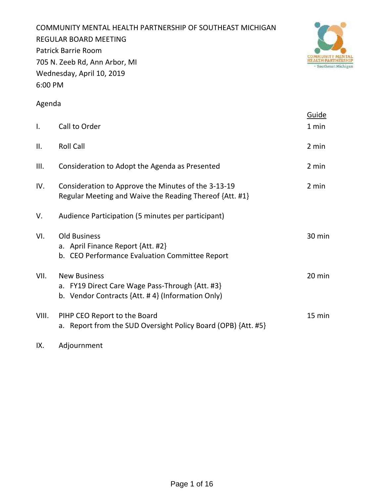COMMUNITY MENTAL HEALTH PARTNERSHIP OF SOUTHEAST MICHIGAN REGULAR BOARD MEETING Patrick Barrie Room 705 N. Zeeb Rd, Ann Arbor, MI Wednesday, April 10, 2019 6:00 PM



# Agenda

|              |                                                                                                                            | Guide  |
|--------------|----------------------------------------------------------------------------------------------------------------------------|--------|
| $\mathsf{L}$ | Call to Order                                                                                                              | 1 min  |
| II.          | <b>Roll Call</b>                                                                                                           | 2 min  |
| III.         | Consideration to Adopt the Agenda as Presented                                                                             | 2 min  |
| IV.          | Consideration to Approve the Minutes of the 3-13-19<br>Regular Meeting and Waive the Reading Thereof {Att. #1}             | 2 min  |
| V.           | Audience Participation (5 minutes per participant)                                                                         |        |
| VI.          | <b>Old Business</b><br>a. April Finance Report {Att. #2}<br>b. CEO Performance Evaluation Committee Report                 | 30 min |
| VII.         | <b>New Business</b><br>a. FY19 Direct Care Wage Pass-Through {Att. #3}<br>b. Vendor Contracts {Att. #4} (Information Only) | 20 min |
| VIII.        | PIHP CEO Report to the Board<br>a. Report from the SUD Oversight Policy Board (OPB) {Att. #5}                              | 15 min |

IX. Adjournment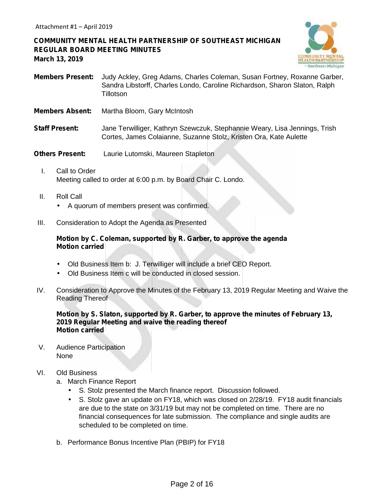**COMMUNITY MENTAL HEALTH PARTNERSHIP OF SOUTHEAST MICHIGAN REGULAR BOARD MEETING MINUTES March 13, 2019**



- **Members Present:** Judy Ackley, Greg Adams, Charles Coleman, Susan Fortney, Roxanne Garber, Sandra Libstorff, Charles Londo, Caroline Richardson, Sharon Slaton, Ralph **Tillotson**
- **Members Absent:** Martha Bloom, Gary McIntosh
- **Staff Present:** Jane Terwilliger, Kathryn Szewczuk, Stephannie Weary, Lisa Jennings, Trish Cortes, James Colaianne, Suzanne Stolz, Kristen Ora, Kate Aulette
- **Others Present:** Laurie Lutomski, Maureen Stapleton
	- I. Call to Order Meeting called to order at 6:00 p.m. by Board Chair C. Londo.
	- II. Roll Call A quorum of members present was confirmed.
- III. Consideration to Adopt the Agenda as Presented

## **Motion by C. Coleman, supported by R. Garber, to approve the agenda Motion carried**

Old Business Item b: J. Terwilliger will include a brief CEO Report.

- Old Business Item c will be conducted in closed session.
- IV. Consideration to Approve the Minutes of the February 13, 2019 Regular Meeting and Waive the Reading Thereof

## **Motion by S. Slaton, supported by R. Garber, to approve the minutes of February 13, 2019 Regular Meeting and waive the reading thereof Motion carried**

V. Audience Participation None

# VI. Old Business

- a. March Finance Report
	- S. Stolz presented the March finance report. Discussion followed.
	- S. Stolz gave an update on FY18, which was closed on 2/28/19. FY18 audit financials are due to the state on 3/31/19 but may not be completed on time. There are no financial consequences for late submission. The compliance and single audits are scheduled to be completed on time.
- b. Performance Bonus Incentive Plan (PBIP) for FY18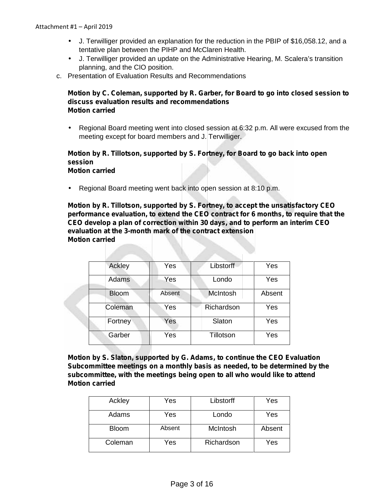- J. Terwilliger provided an explanation for the reduction in the PBIP of \$16,058.12, and a tentative plan between the PIHP and McClaren Health.
- J. Terwilliger provided an update on the Administrative Hearing, M. Scalera's transition planning, and the CIO position.
- c. Presentation of Evaluation Results and Recommendations

# **Motion by C. Coleman, supported by R. Garber, for Board to go into closed session to discuss evaluation results and recommendations Motion carried**

 Regional Board meeting went into closed session at 6:32 p.m. All were excused from the meeting except for board members and J. Terwilliger.

## **Motion by R. Tillotson, supported by S. Fortney, for Board to go back into open session Motion carried**

Regional Board meeting went back into open session at 8:10 p.m.

**Motion by R. Tillotson, supported by S. Fortney, to accept the unsatisfactory CEO performance evaluation, to extend the CEO contract for 6 months, to require that the CEO develop a plan of correction within 30 days, and to perform an interim CEO evaluation at the 3-month mark of the contract extension Motion carried**

| Yes    | Libstorff       | Yes    |
|--------|-----------------|--------|
| Yes    | Londo           | Yes    |
| Absent | <b>McIntosh</b> | Absent |
| Yes    | Richardson      | Yes    |
| Yes    | Slaton          | Yes    |
| Yes    | Tillotson       | Yes    |
|        |                 |        |

**Motion by S. Slaton, supported by G. Adams, to continue the CEO Evaluation Subcommittee meetings on a monthly basis as needed, to be determined by the subcommittee, with the meetings being open to all who would like to attend Motion carried**

| Ackley       | Yes    | Libstorff  | Yes    |
|--------------|--------|------------|--------|
| Adams        | Yes    | Londo      | Yes    |
| <b>Bloom</b> | Absent | McIntosh   | Absent |
| Coleman      | Yes    | Richardson | Yes    |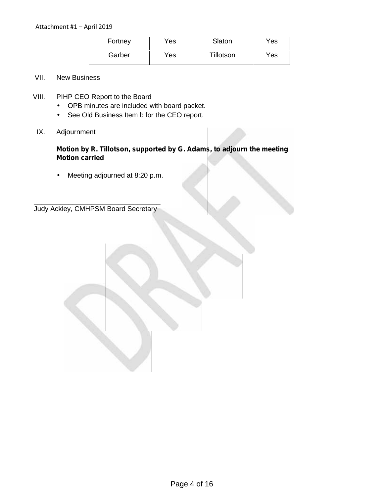| Fortney | Yes  | Slaton    | Yes |  |
|---------|------|-----------|-----|--|
| Garber  | Yes. | Tillotson | Yes |  |

# VII. New Business

- VIII. PIHP CEO Report to the Board
	- OPB minutes are included with board packet.
	- $\int$  See Old Business Item b for the CEO report.
- IX. Adjournment

**Motion by R. Tillotson, supported by G. Adams, to adjourn the meeting Motion carried**

Meeting adjourned at 8:20 p.m.

\_\_\_\_\_\_\_\_\_\_\_\_\_\_\_\_\_\_\_\_\_\_\_\_\_\_\_\_\_\_\_\_\_ Judy Ackley, CMHPSM Board Secretary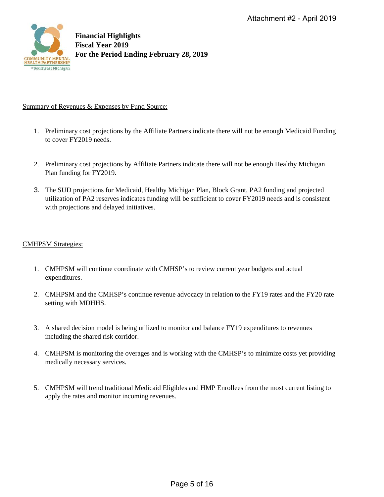

## Summary of Revenues & Expenses by Fund Source:

- 1. Preliminary cost projections by the Affiliate Partners indicate there will not be enough Medicaid Funding to cover FY2019 needs.
- 2. Preliminary cost projections by Affiliate Partners indicate there will not be enough Healthy Michigan Plan funding for FY2019.
- 3. The SUD projections for Medicaid, Healthy Michigan Plan, Block Grant, PA2 funding and projected utilization of PA2 reserves indicates funding will be sufficient to cover FY2019 needs and is consistent with projections and delayed initiatives.

## CMHPSM Strategies:

- 1. CMHPSM will continue coordinate with CMHSP's to review current year budgets and actual expenditures.
- 2. CMHPSM and the CMHSP's continue revenue advocacy in relation to the FY19 rates and the FY20 rate setting with MDHHS.
- 3. A shared decision model is being utilized to monitor and balance FY19 expenditures to revenues including the shared risk corridor.
- 4. CMHPSM is monitoring the overages and is working with the CMHSP's to minimize costs yet providing medically necessary services.
- 5. CMHPSM will trend traditional Medicaid Eligibles and HMP Enrollees from the most current listing to apply the rates and monitor incoming revenues.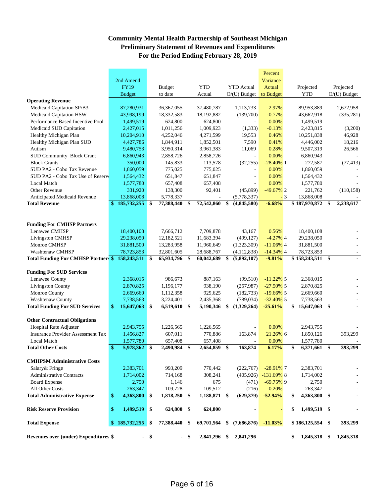# **Community Mental Health Partnership of Southeast Michigan Preliminary Statement of Revenues and Expenditures For the Period Ending February 28, 2019**

|                                                 |               |               |        |               |      |              |                   | Percent        |      |                    |                          |
|-------------------------------------------------|---------------|---------------|--------|---------------|------|--------------|-------------------|----------------|------|--------------------|--------------------------|
|                                                 |               | 2nd Amend     |        |               |      |              |                   | Variance       |      |                    |                          |
|                                                 |               | <b>FY19</b>   |        | <b>Budget</b> |      | <b>YTD</b>   | <b>YTD</b> Actual | Actual         |      | Projected          | Projected                |
|                                                 |               | <b>Budget</b> |        | to date       |      | Actual       | $O/(U)$ Budget    | to Budget      |      | <b>YTD</b>         | $O/(U)$ Budget           |
| <b>Operating Revenue</b>                        |               |               |        |               |      |              |                   |                |      |                    |                          |
| Medicaid Capitation SP/B3                       |               | 87,280,931    |        | 36, 367, 055  |      | 37,480,787   | 1,113,733         | 2.97%          |      | 89,953,889         | 2,672,958                |
| Medicaid Capitation HSW                         |               | 43,998,199    |        | 18,332,583    |      | 18,192,882   | (139,700)         | $-0.77%$       |      | 43,662,918         | (335, 281)               |
| Performance Based Incentive Pool                |               | 1,499,519     |        | 624,800       |      | 624,800      |                   | 0.00%          |      | 1,499,519          |                          |
| Medicaid SUD Capitation                         |               | 2,427,015     |        | 1,011,256     |      | 1,009,923    | (1, 333)          | $-0.13%$       |      | 2,423,815          | (3,200)                  |
| Healthy Michigan Plan                           |               | 10,204,910    |        | 4,252,046     |      | 4,271,599    | 19,553            | 0.46%          |      | 10,251,838         | 46,928                   |
| Healthy Michigan Plan SUD                       |               | 4,427,786     |        | 1,844,911     |      | 1,852,501    | 7,590             | 0.41%          |      | 4,446,002          | 18,216                   |
| Autism                                          |               | 9,480,753     |        | 3,950,314     |      | 3,961,383    | 11,069            | 0.28%          |      | 9,507,319          | 26,566                   |
| <b>SUD Community Block Grant</b>                |               | 6,860,943     |        | 2,858,726     |      | 2,858,726    |                   | 0.00%          |      | 6,860,943          |                          |
| <b>Block Grants</b>                             |               | 350,000       |        | 145,833       |      | 113,578      | (32, 255)         | $-28.40\%$ 1   |      | 272,587            | (77, 413)                |
| SUD PA2 - Cobo Tax Revenue                      |               | 1,860,059     |        | 775,025       |      | 775,025      |                   | 0.00%          |      | 1,860,059          |                          |
| SUD PA2 - Cobo Tax Use of Reserv                |               | 1,564,432     |        | 651,847       |      | 651,847      | ÷,                | 0.00%          |      | 1,564,432          |                          |
| <b>Local Match</b>                              |               | 1,577,780     |        | 657,408       |      | 657,408      |                   | 0.00%          |      | 1,577,780          |                          |
| <b>Other Revenue</b>                            |               | 331,920       |        | 138,300       |      | 92,401       | (45,899)          | $-49.67\%$ 2   |      | 221,762            | (110, 158)               |
| Anticipated Medicaid Revenue                    |               | 13,868,008    |        | 5,778,337     |      |              | (5,778,337)       |                | $-3$ | 13,868,008         |                          |
| <b>Total Revenue</b>                            | $\mathbf{\$}$ | 185,732,255   | \$     | 77,388,440    | \$   | 72,542,860   | \$<br>(4,845,580) | $-6.68%$       |      | \$187,970,872      | \$<br>2,238,617          |
|                                                 |               |               |        |               |      |              |                   |                |      |                    |                          |
|                                                 |               |               |        |               |      |              |                   |                |      |                    |                          |
| <b>Funding For CMHSP Partners</b>               |               |               |        |               |      |              |                   |                |      |                    |                          |
| Lenawee CMHSP                                   |               | 18,400,108    |        | 7,666,712     |      | 7,709,878    | 43,167            | 0.56%          |      | 18,400,108         |                          |
| <b>Livingston CMHSP</b>                         |               | 29,238,050    |        | 12,182,521    |      | 11,683,394   | (499, 127)        | $-4.27\%$ 4    |      | 29,238,050         |                          |
| Monroe CMHSP                                    |               | 31,881,500    |        | 13,283,958    |      | 11,960,649   | (1,323,309)       | $-11.06\%$ 4   |      | 31,881,500         |                          |
| Washtenaw CMHSP                                 |               | 78,723,853    |        | 32,801,605    |      | 28,688,767   | (4, 112, 838)     | $-14.34\%$ 4   |      | 78,723,853         | $\overline{\phantom{a}}$ |
| Total Funding For CMHSP Partner: \$ 158,243,511 |               |               | \$     | 65,934,796 \$ |      | 60,042,689   | \$<br>(5,892,107) | $-9.81%$       |      | \$158,243,511 \$   |                          |
|                                                 |               |               |        |               |      |              |                   |                |      |                    |                          |
| <b>Funding For SUD Services</b>                 |               |               |        |               |      |              |                   |                |      |                    |                          |
| Lenawee County                                  |               | 2,368,015     |        | 986,673       |      | 887,163      | (99, 510)         | $-11.22\%$ 5   |      | 2,368,015          |                          |
| <b>Livingston County</b>                        |               | 2,870,825     |        | 1,196,177     |      | 938,190      | (257, 987)        | $-27.50\%$ 5   |      | 2,870,825          |                          |
| Monroe County                                   |               | 2,669,660     |        | 1,112,358     |      | 929,625      | (182, 733)        | $-19.66\%$ 5   |      | 2,669,660          |                          |
| Washtenaw County                                |               | 7,738,563     |        | 3,224,401     |      | 2,435,368    | (789, 034)        | $-32.40\%$ 5   |      | 7,738,563          |                          |
| <b>Total Funding For SUD Services</b>           | $\mathbf{\$}$ | 15,647,063    | \$     | 6,519,610     | \$   | 5,190,346    | \$<br>(1,329,264) | $-25.61%$      |      | 15,647,063 \$      |                          |
|                                                 |               |               |        |               |      |              |                   |                |      |                    |                          |
| <b>Other Contractual Obligations</b>            |               |               |        |               |      |              |                   |                |      |                    |                          |
| <b>Hospital Rate Adjuster</b>                   |               | 2,943,755     |        | 1,226,565     |      | 1,226,565    |                   | 0.00%          |      | 2,943,755          |                          |
| <b>Insurance Provider Assessment Tax</b>        |               | 1,456,827     |        | 607,011       |      | 770,886      | 163,874           | 21.26% 6       |      | 1,850,126          | 393,299                  |
| <b>Local Match</b>                              |               | 1,577,780     |        | 657,408       |      | 657,408      |                   | 0.00%          |      | 1,577,780          |                          |
| <b>Total Other Costs</b>                        | \$            | 5,978,362 \$  |        | 2,490,984     | \$   | 2,654,859    | \$<br>163,874     | 6.17%          |      | \$<br>6,371,661 \$ | 393,299                  |
|                                                 |               |               |        |               |      |              |                   |                |      |                    |                          |
| <b>CMHPSM Administrative Costs</b>              |               |               |        |               |      |              |                   |                |      |                    |                          |
| Salary & Fringe                                 |               | 2,383,701     |        | 993,209       |      | 770,442      | (222,767)         | $-28.91\%$ 7   |      | 2,383,701          |                          |
| <b>Administrative Contracts</b>                 |               | 1,714,002     |        | 714,168       |      | 308,241      | (405, 926)        | $-131.69\%$ 8  |      | 1,714,002          |                          |
| <b>Board Expense</b>                            |               | 2,750         |        | 1,146         |      | 675          | (471)             | $-69.75\%$ 9   |      | 2,750              |                          |
| All Other Costs                                 |               | 263,347       |        | 109,728       |      | 109,512      | (216)             | $-0.20%$       |      | 263,347            |                          |
| <b>Total Administrative Expense</b>             | $\mathbf{\$}$ | 4,363,800     | \$     | 1,818,250     | \$   | 1,188,871 \$ | (629,379)         | $-52.94%$      |      | 4,363,800 \$<br>\$ |                          |
| <b>Risk Reserve Provision</b>                   | \$            | 1,499,519     | \$     | 624,800 \$    |      | 624,800      |                   | $\blacksquare$ |      | \$<br>1,499,519 \$ |                          |
|                                                 |               |               |        |               |      |              |                   |                |      |                    |                          |
| <b>Total Expense</b>                            |               | \$185,732,255 | \$     | 77,388,440 \$ |      | 69,701,564   | \$<br>(7,686,876) | $-11.03%$      |      | $$186,125,554$ \\$ | 393,299                  |
| Revenues over (under) Expenditures \$           |               |               | $-$ \$ |               | - \$ | 2,841,296 \$ | 2,841,296         |                |      | \$<br>1,845,318    | \$<br>1,845,318          |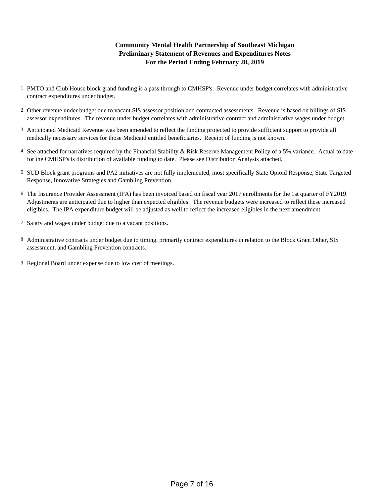# **For the Period Ending February 28, 2019 Community Mental Health Partnership of Southeast Michigan Preliminary Statement of Revenues and Expenditures Notes**

- 1 PMTO and Club House block grand funding is a pass through to CMHSP's. Revenue under budget correlates with administrative contract expenditures under budget.
- 2 Other revenue under budget due to vacant SIS assessor position and contracted assessments. Revenue is based on billings of SIS assessor expenditures. The revenue under budget correlates with administrative contract and administrative wages under budget.
- 3 Anticipated Medicaid Revenue was been amended to reflect the funding projected to provide sufficient support to provide all medically necessary services for those Medicaid entitled beneficiaries. Receipt of funding is not known.
- 4 See attached for narratives required by the Financial Stability & Risk Reserve Management Policy of a 5% variance. Actual to date for the CMHSP's is distribution of available funding to date. Please see Distribution Analysis attached.
- 5 SUD Block grant programs and PA2 initiatives are not fully implemented, most specifically State Opioid Response, State Targeted Response, Innovative Strategies and Gambling Prevention.
- 6 The Insurance Provider Assessment (IPA) has been invoiced based on fiscal year 2017 enrollments for the 1st quarter of FY2019. Adjustments are anticipated due to higher than expected eligibles. The revenue budgets were increased to reflect these increased eligibles. The IPA expenditure budget will be adjusted as well to reflect the increased eligibles in the next amendment
- 7 Salary and wages under budget due to a vacant positions.
- 8 Administrative contracts under budget due to timing, primarily contract expenditures in relation to the Block Grant Other, SIS assessment, and Gambling Prevention contracts.
- 9 Regional Board under expense due to low cost of meetings.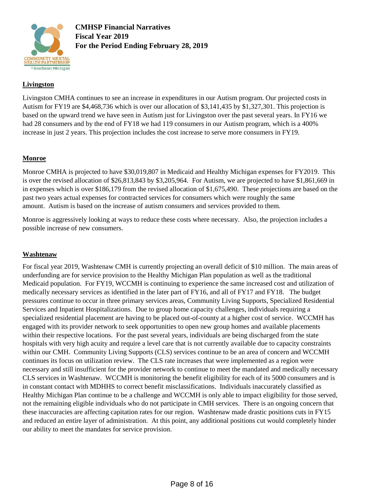

**CMHSP Financial Narratives Fiscal Year 2019 For the Period Ending February 28, 2019**

# **Livingston**

Livingston CMHA continues to see an increase in expenditures in our Autism program. Our projected costs in Autism for FY19 are \$4,468,736 which is over our allocation of \$3,141,435 by \$1,327,301. This projection is based on the upward trend we have seen in Autism just for Livingston over the past several years. In FY16 we had 28 consumers and by the end of FY18 we had 119 consumers in our Autism program, which is a 400% increase in just 2 years. This projection includes the cost increase to serve more consumers in FY19.

## **Monroe**

Monroe CMHA is projected to have \$30,019,807 in Medicaid and Healthy Michigan expenses for FY2019. This is over the revised allocation of \$26,813,843 by \$3,205,964. For Autism, we are projected to have \$1,861,669 in in expenses which is over \$186,179 from the revised allocation of \$1,675,490. These projections are based on the past two years actual expenses for contracted services for consumers which were roughly the same amount. Autism is based on the increase of autism consumers and services provided to them.

Monroe is aggressively looking at ways to reduce these costs where necessary. Also, the projection includes a possible increase of new consumers.

## **Washtenaw**

For fiscal year 2019, Washtenaw CMH is currently projecting an overall deficit of \$10 million. The main areas of underfunding are for service provision to the Healthy Michigan Plan population as well as the traditional Medicaid population. For FY19, WCCMH is continuing to experience the same increased cost and utilization of medically necessary services as identified in the later part of FY16, and all of FY17 and FY18. The budget pressures continue to occur in three primary services areas, Community Living Supports, Specialized Residential Services and Inpatient Hospitalizations. Due to group home capacity challenges, individuals requiring a specialized residential placement are having to be placed out-of-county at a higher cost of service. WCCMH has engaged with its provider network to seek opportunities to open new group homes and available placements within their respective locations. For the past several years, individuals are being discharged from the state hospitals with very high acuity and require a level care that is not currently available due to capacity constraints within our CMH. Community Living Supports (CLS) services continue to be an area of concern and WCCMH continues its focus on utilization review. The CLS rate increases that were implemented as a region were necessary and still insufficient for the provider network to continue to meet the mandated and medically necessary CLS services in Washtenaw. WCCMH is monitoring the benefit eligibility for each of its 5000 consumers and is in constant contact with MDHHS to correct benefit misclassifications. Individuals inaccurately classified as Healthy Michigan Plan continue to be a challenge and WCCMH is only able to impact eligibility for those served, not the remaining eligible individuals who do not participate in CMH services. There is an ongoing concern that these inaccuracies are affecting capitation rates for our region. Washtenaw made drastic positions cuts in FY15 and reduced an entire layer of administration. At this point, any additional positions cut would completely hinder our ability to meet the mandates for service provision.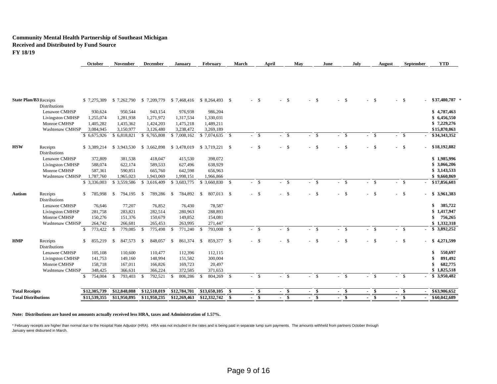#### **Community Mental Health Partnership of Southeast Michigan Received and Distributed by Fund Source FY 18/19**

|                                            | October                 | November                | December                                           | <b>January</b>           | <b>February</b>            | March | April    | May          | June         | July         | August       | September | <b>YTD</b>        |
|--------------------------------------------|-------------------------|-------------------------|----------------------------------------------------|--------------------------|----------------------------|-------|----------|--------------|--------------|--------------|--------------|-----------|-------------------|
|                                            |                         |                         |                                                    |                          |                            |       |          |              |              |              |              |           |                   |
| <b>State Plan/B3 Receipts</b>              | \$7,275,309             |                         | \$7,262,790 \$7,209,779 \$7,468,416 \$8,264,493 \$ |                          |                            |       | $-$ \$   | $- S$        | $-$ \$       | - \$         | $-$ \$       | $-$ \$    | $$37,480,787$ *   |
| <b>Distributions</b>                       |                         |                         |                                                    |                          |                            |       |          |              |              |              |              |           |                   |
| Lenawee CMHSP                              | 930,624                 | 950,544                 | 943,154                                            | 976,938                  | 986,204                    |       |          |              |              |              |              |           | \$4,787,463       |
| <b>Livingston CMHSP</b>                    | 1,255,074               | 1,281,938               | 1,271,972                                          | 1,317,534                | 1,330,031                  |       |          |              |              |              |              |           | \$6,456,550       |
| Monroe CMHSP                               | 1,405,282               | 1,435,362               | 1,424,203                                          | 1,475,218                | 1,489,211                  |       |          |              |              |              |              |           | \$7,229,276       |
| Washtenaw CMHSP                            | 3,084,945               | 3,150,977               | 3,126,480                                          | 3,238,472                | 3,269,189                  |       |          |              |              |              |              |           | \$15,870,063      |
|                                            | \$6,675,926             | \$6,818,821             | \$6,765,808                                        | \$7,008,162              | $$7,074,635$ \;            |       | $- S$    | $-$ \$       | $- S$        | $-5$         | $- S$        | $-$ \$    | \$34,343,352      |
| HSW<br>Receipts<br><b>Distributions</b>    | \$3,389,214             | \$3,943,530             | \$3,662,898                                        | \$3,478,019              |                            |       | $-$ \$   | $-$ \$       | $-5$         | $-5$         | $-$ \$       | $-$ \$    | $-$ \$18,192,882  |
| Lenawee CMHSP                              | 372,809                 | 381,538                 | 418,047                                            | 415,530                  | 398,072                    |       |          |              |              |              |              |           | \$1,985,996       |
| <b>Livingston CMHSP</b>                    | 588,074                 | 622,174                 | 589,533                                            | 627,496                  | 638,929                    |       |          |              |              |              |              |           | \$3,066,206       |
| Monroe CMHSP                               | 587,361                 | 590,851                 | 665,760                                            | 642,598                  | 656,963                    |       |          |              |              |              |              |           | \$3,143,533       |
| Washtenaw CMHSP                            | 1,787,760               | 1,965,023               | 1,943,069                                          | 1,998,151                | 1,966,866                  |       |          |              |              |              |              |           | \$9,660,869       |
|                                            | \$ 3,336,003            | \$3,559,586             | \$ 3,616,409                                       | \$3,683,775              |                            |       | $-$ \$   | - \$         | $-$ \$       | <b>S</b>     | - \$         | $- S$     | \$17,856,603      |
| Autism<br>Receipts<br><b>Distributions</b> | \$.<br>785,998          | 794,195 \$<br>- \$      | 789,286                                            | 784,892 \$<br>$^{\circ}$ | 807,013 \$                 |       | $-$ \$   | $- S$        | $-$ \$       | $\mathbf{s}$ | $-$ \$       | $-5$      | \$3,961,383       |
| Lenawee CMHSP                              | 76,646                  | 77,207                  | 76,852                                             | 76,430                   | 78,587                     |       |          |              |              |              |              |           | 385,722<br>\$     |
| <b>Livingston CMHSP</b>                    | 281,758                 | 283,821                 | 282,514                                            | 280,963                  | 288,893                    |       |          |              |              |              |              |           | 1,417,947         |
| Monroe CMHSP                               | 150,276                 | 151,376                 | 150,679                                            | 149,852                  | 154,081                    |       |          |              |              |              |              |           | 756,265<br>\$     |
| Washtenaw CMHSP                            | 264,742                 | 266,681                 | 265,453                                            | 263,995                  | 271,447                    |       |          |              |              |              |              |           | \$1,332,318       |
|                                            | 773,422<br>$\mathbb{S}$ | $\mathbb{S}$<br>779,085 | 775,498<br>- \$                                    | $\mathbf S$<br>771,240   | 793,008 \$<br>$\mathbb{S}$ |       | <b>S</b> | $\mathbb{S}$ | $\mathbf{s}$ | - \$         | \$           | $-$ \$    | \$3,892,252       |
| HMP<br>Receipts<br><b>Distributions</b>    | $\mathbb{S}$<br>855.219 | 847,573<br>-S           | 848,057<br>- \$                                    | 861,374<br>- S           | 859,377 \$<br>- \$         |       | $-5$     | $-$ \$       | $-$ \$       | - \$         | $-$ \$       | $-$ \$    | 4,271,599<br>- \$ |
| Lenawee CMHSP                              | 105,108                 | 110,600                 | 110,477                                            | 112,396                  | 112,115                    |       |          |              |              |              |              |           | 550,697<br>\$     |
| <b>Livingston CMHSP</b>                    | 141,753                 | 149,160                 | 148,994                                            | 151,582                  | 300,004                    |       |          |              |              |              |              |           | 891,492           |
| Monroe CMHSP                               | 158,718                 | 167,011                 | 166,826                                            | 169,723                  | 20,497                     |       |          |              |              |              |              |           | 682,775           |
| Washtenaw CMHSP                            | 348,425                 | 366,631                 | 366,224                                            | 372,585                  | 371,653                    |       |          |              |              |              |              |           | \$1,825,518       |
|                                            | $\mathbf{s}$<br>754,004 | 793,403<br>- \$         | 792,521 \$<br>- \$                                 | 806,286                  | 804,269 \$<br>- \$         |       | $-5$     | $\mathbf{s}$ | $- S$        | $-$ \$       | $\mathbf{s}$ | $-$ \$    | \$3,950,482       |
|                                            |                         |                         |                                                    |                          |                            |       |          |              |              |              |              |           |                   |
| <b>Total Receipts</b>                      | \$12,305,739            | \$12,848,088            | \$12,510,019                                       | \$12,784,701             | \$13,650,105               | S.    | $-$ \$   | $-$ \$       | $-$ \$       | $-$ \$       | $-$ \$       | $-$ \$    | \$63,906,652      |
| <b>Total Distributions</b>                 | \$11,539,355            | \$11,950,895            | \$11,950,235                                       | \$12,269,463             | \$12,332,742               | - \$  | - \$     | - \$         | - \$         | - \$         | - \$         | - \$      | \$60,042,689      |
|                                            |                         |                         |                                                    |                          |                            |       |          |              |              |              |              |           |                   |

**Note: Distributions are based on amounts actually received less HRA, taxes and Administration of 1.57%.**

\* February receipts are higher than normal due to the Hospital Rate Adjustor (HRA). HRA was not included in the rates and is being paid in separate lump sum payments. The amounts withheld from partners October through January were disbursed in March.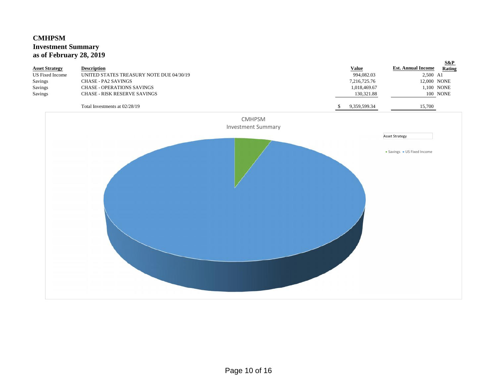# **CMHPSM Investment Summary as of February 28, 2019**

| <b>Asset Strategy</b><br><b>US</b> Fixed Income<br>Savings<br>Savings<br>Savings | <b>Description</b><br>UNITED STATES TREASURY NOTE DUE 04/30/19<br><b>CHASE - PA2 SAVINGS</b><br><b>CHASE - OPERATIONS SAVINGS</b><br>CHASE - RISK RESERVE SAVINGS<br>Total Investments at 02/28/19 |                           | <b>Value</b><br>994,082.03<br>7,216,725.76<br>1,018,469.67<br>130,321.88<br>9,359,599.34<br>-S | $S\&P$<br><b>Est. Annual Income</b><br>Rating<br>2,500 A1<br>12,000 NONE<br>1,100 NONE<br>100 NONE<br>15,700 |
|----------------------------------------------------------------------------------|----------------------------------------------------------------------------------------------------------------------------------------------------------------------------------------------------|---------------------------|------------------------------------------------------------------------------------------------|--------------------------------------------------------------------------------------------------------------|
|                                                                                  |                                                                                                                                                                                                    | <b>CMHPSM</b>             |                                                                                                |                                                                                                              |
|                                                                                  |                                                                                                                                                                                                    | <b>Investment Summary</b> |                                                                                                |                                                                                                              |
|                                                                                  |                                                                                                                                                                                                    |                           |                                                                                                | <b>Asset Strategy</b>                                                                                        |
|                                                                                  |                                                                                                                                                                                                    |                           |                                                                                                | · Savings · US Fixed Income                                                                                  |
|                                                                                  |                                                                                                                                                                                                    |                           |                                                                                                |                                                                                                              |
|                                                                                  |                                                                                                                                                                                                    |                           |                                                                                                |                                                                                                              |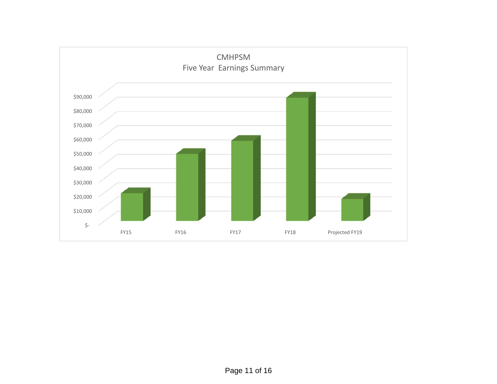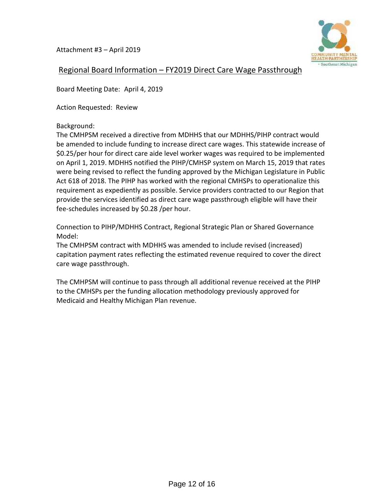Attachment #3 – April 2019



# Regional Board Information – FY2019 Direct Care Wage Passthrough

Board Meeting Date: April 4, 2019

Action Requested: Review

Background:

The CMHPSM received a directive from MDHHS that our MDHHS/PIHP contract would be amended to include funding to increase direct care wages. This statewide increase of \$0.25/per hour for direct care aide level worker wages was required to be implemented on April 1, 2019. MDHHS notified the PIHP/CMHSP system on March 15, 2019 that rates were being revised to reflect the funding approved by the Michigan Legislature in Public Act 618 of 2018. The PIHP has worked with the regional CMHSPs to operationalize this requirement as expediently as possible. Service providers contracted to our Region that provide the services identified as direct care wage passthrough eligible will have their fee-schedules increased by \$0.28 /per hour.

Connection to PIHP/MDHHS Contract, Regional Strategic Plan or Shared Governance Model:

The CMHPSM contract with MDHHS was amended to include revised (increased) capitation payment rates reflecting the estimated revenue required to cover the direct care wage passthrough.

The CMHPSM will continue to pass through all additional revenue received at the PIHP to the CMHSPs per the funding allocation methodology previously approved for Medicaid and Healthy Michigan Plan revenue.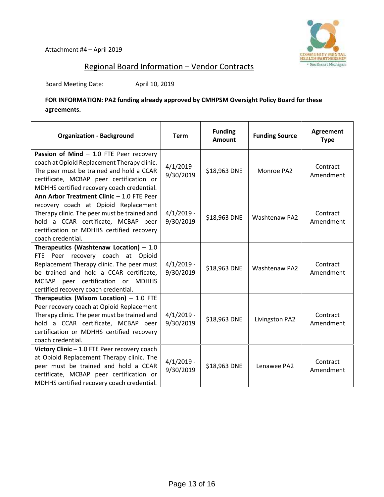

# Regional Board Information – Vendor Contracts

Board Meeting Date: April 10, 2019

**FOR INFORMATION: PA2 funding already approved by CMHPSM Oversight Policy Board for these agreements.**

| <b>Organization - Background</b>                                                                                                                                                                                                                   | <b>Term</b>               | <b>Funding</b><br><b>Amount</b> | <b>Funding Source</b> | <b>Agreement</b><br><b>Type</b> |
|----------------------------------------------------------------------------------------------------------------------------------------------------------------------------------------------------------------------------------------------------|---------------------------|---------------------------------|-----------------------|---------------------------------|
| Passion of Mind $-$ 1.0 FTE Peer recovery<br>coach at Opioid Replacement Therapy clinic.<br>The peer must be trained and hold a CCAR<br>certificate, MCBAP peer certification or<br>MDHHS certified recovery coach credential.                     | $4/1/2019$ -<br>9/30/2019 | \$18,963 DNE                    | Monroe PA2            | Contract<br>Amendment           |
| Ann Arbor Treatment Clinic - 1.0 FTE Peer<br>recovery coach at Opioid Replacement<br>Therapy clinic. The peer must be trained and<br>hold a CCAR certificate, MCBAP peer<br>certification or MDHHS certified recovery<br>coach credential.         | $4/1/2019$ -<br>9/30/2019 | \$18,963 DNE                    | <b>Washtenaw PA2</b>  | Contract<br>Amendment           |
| Therapeutics (Washtenaw Location) $-1.0$<br>FTE Peer recovery coach at Opioid<br>Replacement Therapy clinic. The peer must<br>be trained and hold a CCAR certificate,<br>MCBAP peer certification or MDHHS<br>certified recovery coach credential. | $4/1/2019$ -<br>9/30/2019 | \$18,963 DNE                    | <b>Washtenaw PA2</b>  | Contract<br>Amendment           |
| Therapeutics (Wixom Location) $-1.0$ FTE<br>Peer recovery coach at Opioid Replacement<br>Therapy clinic. The peer must be trained and<br>hold a CCAR certificate, MCBAP peer<br>certification or MDHHS certified recovery<br>coach credential.     | $4/1/2019$ -<br>9/30/2019 | \$18,963 DNE                    | Livingston PA2        | Contract<br>Amendment           |
| Victory Clinic - 1.0 FTE Peer recovery coach<br>at Opioid Replacement Therapy clinic. The<br>peer must be trained and hold a CCAR<br>certificate, MCBAP peer certification or<br>MDHHS certified recovery coach credential.                        | $4/1/2019 -$<br>9/30/2019 | \$18,963 DNE                    | Lenawee PA2           | Contract<br>Amendment           |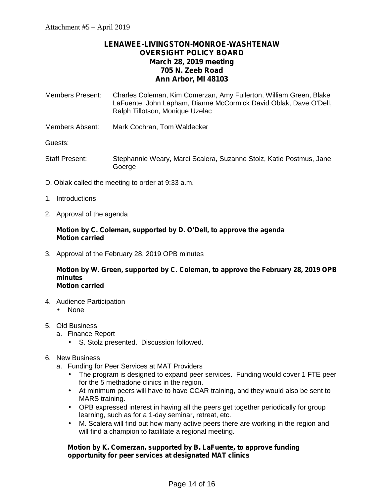# **LENAWEE-LIVINGSTON-MONROE-WASHTENAW OVERSIGHT POLICY BOARD March 28, 2019 meeting 705 N. Zeeb Road Ann Arbor, MI 48103**

- Members Present: Charles Coleman, Kim Comerzan, Amy Fullerton, William Green, Blake LaFuente, John Lapham, Dianne McCormick David Oblak, Dave O'Dell, Ralph Tillotson, Monique Uzelac
- Members Absent: Mark Cochran, Tom Waldecker

Guests:

- Staff Present: Stephannie Weary, Marci Scalera, Suzanne Stolz, Katie Postmus, Jane Goerge
- D. Oblak called the meeting to order at 9:33 a.m.
- 1. Introductions
- 2. Approval of the agenda

## **Motion by C. Coleman, supported by D. O'Dell, to approve the agenda Motion carried**

3. Approval of the February 28, 2019 OPB minutes

**Motion by W. Green, supported by C. Coleman, to approve the February 28, 2019 OPB minutes Motion carried**

- 4. Audience Participation l None
- 5. Old Business
	- a. Finance Report
		- S. Stolz presented. Discussion followed.

## 6. New Business

- a. Funding for Peer Services at MAT Providers
	- The program is designed to expand peer services. Funding would cover 1 FTE peer for the 5 methadone clinics in the region.
	- At minimum peers will have to have CCAR training, and they would also be sent to MARS training.
	- OPB expressed interest in having all the peers get together periodically for group learning, such as for a 1-day seminar, retreat, etc.
	- M. Scalera will find out how many active peers there are working in the region and will find a champion to facilitate a regional meeting.

## **Motion by K. Comerzan, supported by B. LaFuente, to approve funding opportunity for peer services at designated MAT clinics**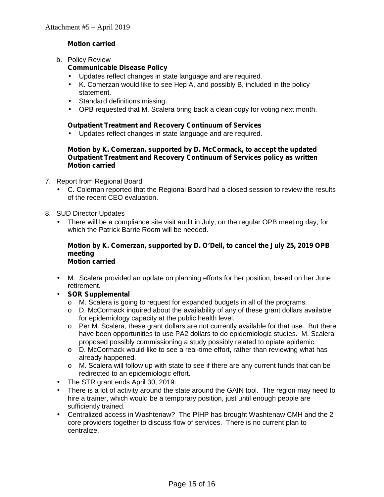# **Motion carried**

b. Policy Review

# **Communicable Disease Policy**

- Updates reflect changes in state language and are required.
- K. Comerzan would like to see Hep A, and possibly B, included in the policy statement.
- Standard definitions missing.
- ) OPB requested that M. Scalera bring back a clean copy for voting next month.

## **Outpatient Treatment and Recovery Continuum of Services**

Updates reflect changes in state language and are required.

## **Motion by K. Comerzan, supported by D. McCormack, to accept the updated Outpatient Treatment and Recovery Continuum of Services policy as written Motion carried**

- 7. Report from Regional Board
	- C. Coleman reported that the Regional Board had a closed session to review the results of the recent CEO evaluation.
- 8. SUD Director Updates
	- There will be a compliance site visit audit in July, on the regular OPB meeting day, for which the Patrick Barrie Room will be needed.

### **Motion by K. Comerzan, supported by D. O'Dell, to cancel the July 25, 2019 OPB meeting Motion carried**

- M. Scalera provided an update on planning efforts for her position, based on her June retirement.
- **SOR Supplemental**
	- o M. Scalera is going to request for expanded budgets in all of the programs.
	- $\circ$  D. McCormack inquired about the availability of any of these grant dollars available for epidemiology capacity at the public health level.
	- $\circ$  Per M. Scalera, these grant dollars are not currently available for that use. But there have been opportunities to use PA2 dollars to do epidemiologic studies. M. Scalera proposed possibly commissioning a study possibly related to opiate epidemic.
	- o D. McCormack would like to see a real-time effort, rather than reviewing what has already happened.
	- o M. Scalera will follow up with state to see if there are any current funds that can be redirected to an epidemiologic effort.
	- The STR grant ends April 30, 2019.
- There is a lot of activity around the state around the GAIN tool. The region may need to hire a trainer, which would be a temporary position, just until enough people are sufficiently trained.
- Centralized access in Washtenaw? The PIHP has brought Washtenaw CMH and the 2 core providers together to discuss flow of services. There is no current plan to centralize.